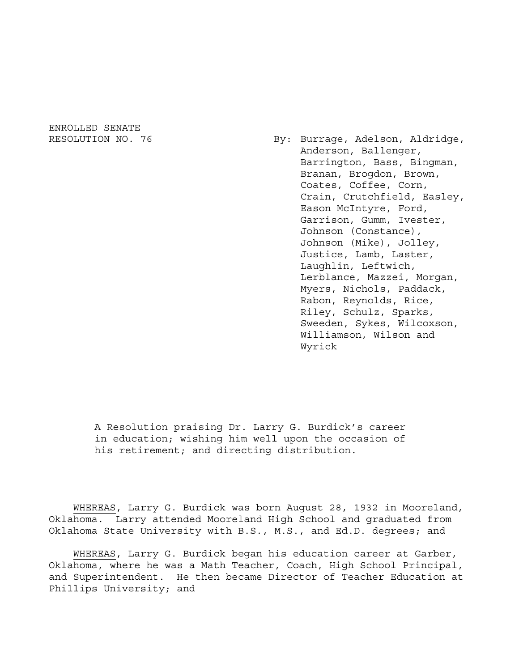ENROLLED SENATE

RESOLUTION NO. 76 By: Burrage, Adelson, Aldridge, Anderson, Ballenger, Barrington, Bass, Bingman, Branan, Brogdon, Brown, Coates, Coffee, Corn, Crain, Crutchfield, Easley, Eason McIntyre, Ford, Garrison, Gumm, Ivester, Johnson (Constance), Johnson (Mike), Jolley, Justice, Lamb, Laster, Laughlin, Leftwich, Lerblance, Mazzei, Morgan, Myers, Nichols, Paddack, Rabon, Reynolds, Rice, Riley, Schulz, Sparks, Sweeden, Sykes, Wilcoxson, Williamson, Wilson and Wyrick

> A Resolution praising Dr. Larry G. Burdick's career in education; wishing him well upon the occasion of his retirement; and directing distribution.

WHEREAS, Larry G. Burdick was born August 28, 1932 in Mooreland, Oklahoma. Larry attended Mooreland High School and graduated from Oklahoma State University with B.S., M.S., and Ed.D. degrees; and

WHEREAS, Larry G. Burdick began his education career at Garber, Oklahoma, where he was a Math Teacher, Coach, High School Principal, and Superintendent. He then became Director of Teacher Education at Phillips University; and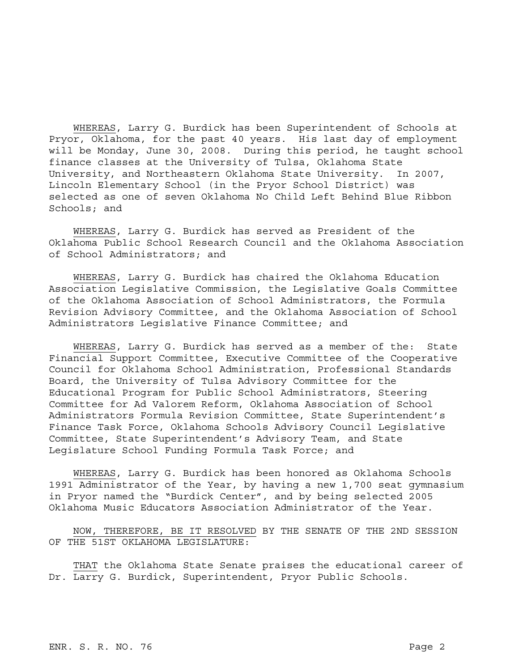WHEREAS, Larry G. Burdick has been Superintendent of Schools at Pryor, Oklahoma, for the past 40 years. His last day of employment will be Monday, June 30, 2008. During this period, he taught school finance classes at the University of Tulsa, Oklahoma State University, and Northeastern Oklahoma State University. In 2007, Lincoln Elementary School (in the Pryor School District) was selected as one of seven Oklahoma No Child Left Behind Blue Ribbon Schools; and

WHEREAS, Larry G. Burdick has served as President of the Oklahoma Public School Research Council and the Oklahoma Association of School Administrators; and

WHEREAS, Larry G. Burdick has chaired the Oklahoma Education Association Legislative Commission, the Legislative Goals Committee of the Oklahoma Association of School Administrators, the Formula Revision Advisory Committee, and the Oklahoma Association of School Administrators Legislative Finance Committee; and

WHEREAS, Larry G. Burdick has served as a member of the: State Financial Support Committee, Executive Committee of the Cooperative Council for Oklahoma School Administration, Professional Standards Board, the University of Tulsa Advisory Committee for the Educational Program for Public School Administrators, Steering Committee for Ad Valorem Reform, Oklahoma Association of School Administrators Formula Revision Committee, State Superintendent's Finance Task Force, Oklahoma Schools Advisory Council Legislative Committee, State Superintendent's Advisory Team, and State Legislature School Funding Formula Task Force; and

WHEREAS, Larry G. Burdick has been honored as Oklahoma Schools 1991 Administrator of the Year, by having a new 1,700 seat gymnasium in Pryor named the "Burdick Center", and by being selected 2005 Oklahoma Music Educators Association Administrator of the Year.

NOW, THEREFORE, BE IT RESOLVED BY THE SENATE OF THE 2ND SESSION OF THE 51ST OKLAHOMA LEGISLATURE:

THAT the Oklahoma State Senate praises the educational career of Dr. Larry G. Burdick, Superintendent, Pryor Public Schools.